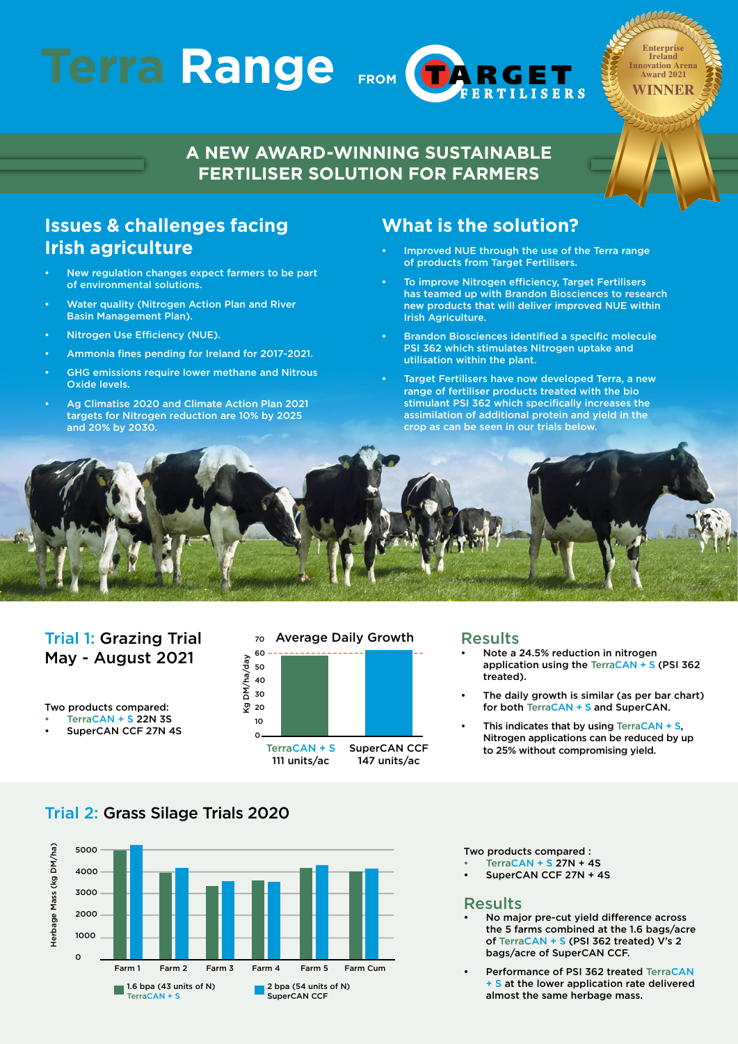# Terra Range



**Enterprise Ireland Innovation Arena Award 2021 WINNER**

## **A NEW AWARD-WINNING SUSTAINABLE FERTILISER SOLUTION FOR FARMERS**

## **Issues & challenges facing Irish agriculture**

- New regulation changes expect farmers to be part of environmental solutions.
- Water quality (Nitrogen Action Plan and River Basin Management Plan).
- Nitrogen Use Efficiency (NUE).
- Ammonia fines pending for Ireland for 2017-2021.
- GHG emissions require lower methane and Nitrous Oxide levels.
- Ag Climatise 2020 and Climate Action Plan 2021 targets for Nitrogen reduction are 10% by 2025 and 20% by 2030.

### **What is the solution?**

- Improved NUE through the use of the Terra range of products from Target Fertilisers.
- To improve Nitrogen efficiency, Target Fertilisers has teamed up with Brandon Biosciences to research new products that will deliver improved NUE within Irish Agriculture.
- Brandon Biosciences identified a specific molecule PSI 362 which stimulates Nitrogen uptake and utilisation within the plant.
- Target Fertilisers have now developed Terra, a new range of fertiliser products treated with the bio stimulant PSI 362 which specifically increases the assimilation of additional protein and yield in the crop as can be seen in our trials below.



## Trial 1: Grazing Trial May - August 2021

Two products compared: TerraCAN + S 22N 3S SuperCAN CCF 27N 4S



#### Results

- Note a 24.5% reduction in nitrogen application using the TerraCAN + S (PSI 362 treated).
- The daily growth is similar (as per bar chart) for both TerraCAN + S and SuperCAN.
- This indicates that by using TerraCAN  $+$  S, Nitrogen applications can be reduced by up to 25% without compromising yield.

## Trial 2: Grass Silage Trials 2020



Two products compared :

- TerraCAN + S 27N + 4S
- SuperCAN CCF 27N + 4S

#### Results

- No major pre-cut yield difference across the 5 farms combined at the 1.6 bags/acre of TerraCAN + S (PSI 362 treated) V's 2 bags/acre of SuperCAN CCF.
- Performance of PSI 362 treated TerraCAN + S at the lower application rate delivered almost the same herbage mass.